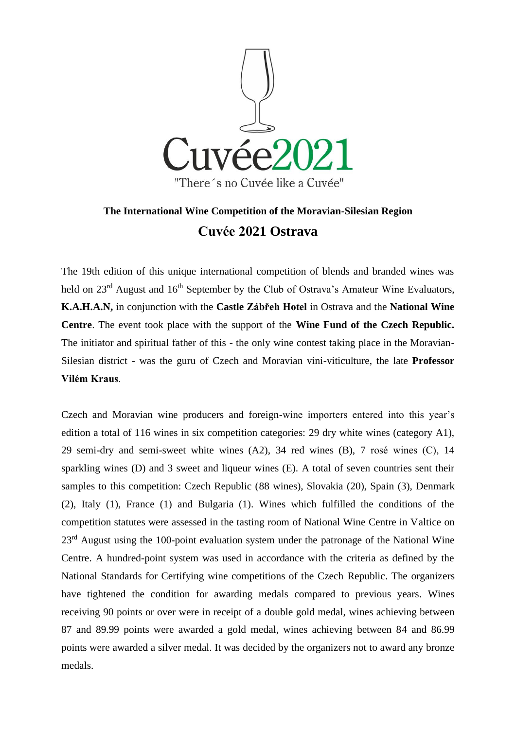

## **The International Wine Competition of the Moravian-Silesian Region Cuvée 2021 Ostrava**

The 19th edition of this unique international competition of blends and branded wines was held on 23<sup>rd</sup> August and 16<sup>th</sup> September by the Club of Ostrava's Amateur Wine Evaluators, **K.A.H.A.N,** in conjunction with the **Castle Zábřeh Hotel** in Ostrava and the **National Wine Centre**. The event took place with the support of the **Wine Fund of the Czech Republic.** The initiator and spiritual father of this - the only wine contest taking place in the Moravian-Silesian district - was the guru of Czech and Moravian vini-viticulture, the late **Professor Vilém Kraus**.

Czech and Moravian wine producers and foreign-wine importers entered into this year's edition a total of 116 wines in six competition categories: 29 dry white wines (category A1), 29 semi-dry and semi-sweet white wines (A2), 34 red wines (B), 7 rosé wines (C), 14 sparkling wines (D) and 3 sweet and liqueur wines (E). A total of seven countries sent their samples to this competition: Czech Republic (88 wines), Slovakia (20), Spain (3), Denmark (2), Italy (1), France (1) and Bulgaria (1). Wines which fulfilled the conditions of the competition statutes were assessed in the tasting room of National Wine Centre in Valtice on 23<sup>rd</sup> August using the 100-point evaluation system under the patronage of the National Wine Centre. A hundred-point system was used in accordance with the criteria as defined by the National Standards for Certifying wine competitions of the Czech Republic. The organizers have tightened the condition for awarding medals compared to previous years. Wines receiving 90 points or over were in receipt of a double gold medal, wines achieving between 87 and 89.99 points were awarded a gold medal, wines achieving between 84 and 86.99 points were awarded a silver medal. It was decided by the organizers not to award any bronze medals.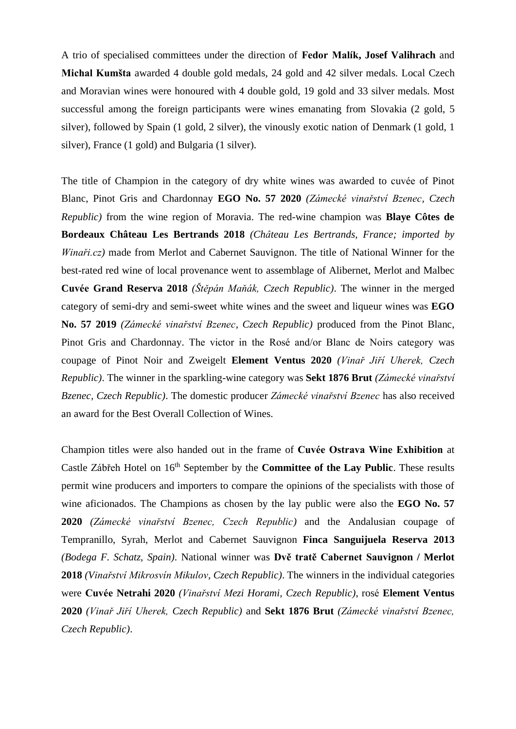A trio of specialised committees under the direction of **Fedor Malík, Josef Valihrach** and **Michal Kumšta** awarded 4 double gold medals, 24 gold and 42 silver medals. Local Czech and Moravian wines were honoured with 4 double gold, 19 gold and 33 silver medals. Most successful among the foreign participants were wines emanating from Slovakia (2 gold, 5 silver), followed by Spain (1 gold, 2 silver), the vinously exotic nation of Denmark (1 gold, 1 silver), France (1 gold) and Bulgaria (1 silver).

The title of Champion in the category of dry white wines was awarded to cuvée of Pinot Blanc, Pinot Gris and Chardonnay **EGO No. 57 2020** *(Zámecké vinařství Bzenec, Czech Republic)* from the wine region of Moravia. The red-wine champion was **Blaye Côtes de Bordeaux Château Les Bertrands 2018** *(Château Les Bertrands, France; imported by Winaři.cz)* made from Merlot and Cabernet Sauvignon. The title of National Winner for the best-rated red wine of local provenance went to assemblage of Alibernet, Merlot and Malbec **Cuvée Grand Reserva 2018** *(Štěpán Maňák, Czech Republic)*. The winner in the merged category of semi-dry and semi-sweet white wines and the sweet and liqueur wines was **EGO No. 57 2019** *(Zámecké vinařství Bzenec, Czech Republic)* produced from the Pinot Blanc, Pinot Gris and Chardonnay. The victor in the Rosé and/or Blanc de Noirs category was coupage of Pinot Noir and Zweigelt **Element Ventus 2020** *(Vinař Jiří Uherek, Czech Republic)*. The winner in the sparkling-wine category was **Sekt 1876 Brut** *(Zámecké vinařství Bzenec, Czech Republic)*. The domestic producer *Zámecké vinařství Bzenec* has also received an award for the Best Overall Collection of Wines.

Champion titles were also handed out in the frame of **Cuvée Ostrava Wine Exhibition** at Castle Zábřeh Hotel on 16<sup>th</sup> September by the **Committee of the Lay Public**. These results permit wine producers and importers to compare the opinions of the specialists with those of wine aficionados. The Champions as chosen by the lay public were also the **EGO No. 57 2020** *(Zámecké vinařství Bzenec, Czech Republic)* and the Andalusian coupage of Tempranillo, Syrah, Merlot and Cabernet Sauvignon **Finca Sanguijuela Reserva 2013** *(Bodega F. Schatz, Spain)*. National winner was **Dvě tratě Cabernet Sauvignon / Merlot 2018** *(Vinařství Mikrosvín Mikulov, Czech Republic)*. The winners in the individual categories were **Cuvée Netrahi 2020** *(Vinařství Mezi Horami, Czech Republic)*, rosé **Element Ventus 2020** *(Vinař Jiří Uherek, Czech Republic)* and **Sekt 1876 Brut** *(Zámecké vinařství Bzenec, Czech Republic)*.